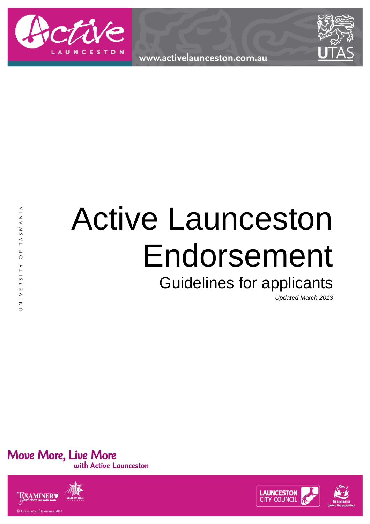

www.activelaunceston.com.au



# Active Launceston Endorsement

# Guidelines for applicants

*Updated March 2013*

Move More, Live More<br>with Active Launceston



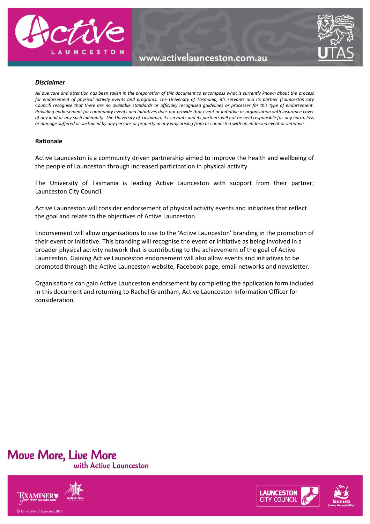

### www.activelaunceston.com.au



#### *Disclaimer*

*All due care and attention has been taken in the preparation of this document to encompass what is currently known about the process for endorsement of physical activity events and programs. The University of Tasmania, it's servants and its partner (Launceston City Council) recognise that there are no available standards or officially recognised guidelines or processes for this type of endorsement. Providing endorsement for community events and initiatives does not provide that event or initiative or organisation with insurance cover of any kind or any such indemnity. The University of Tasmania, its servants and its partners will not be held responsible for any harm, loss or damage suffered or sustained by any persons or property in any way arising from or connected with an endorsed event or initiative.* 

#### **Rationale**

Active Launceston is a community driven partnership aimed to improve the health and wellbeing of the people of Launceston through increased participation in physical activity.

The University of Tasmania is leading Active Launceston with support from their partner; Launceston City Council.

Active Launceston will consider endorsement of physical activity events and initiatives that reflect the goal and relate to the objectives of Active Launceston.

Endorsement will allow organisations to use to the 'Active Launceston' branding in the promotion of their event or initiative. This branding will recognise the event or initiative as being involved in a broader physical activity network that is contributing to the achievement of the goal of Active Launceston. Gaining Active Launceston endorsement will also allow events and initiatives to be promoted through the Active Launceston website, Facebook page, email networks and newsletter.

Organisations can gain Active Launceston endorsement by completing the application form included in this document and returning to Rachel Grantham, Active Launceston Information Officer for consideration.





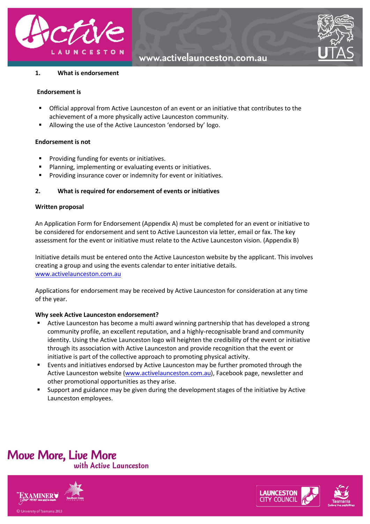

www.activelaunceston.com.au



#### **1. What is endorsement**

#### **Endorsement is**

- Official approval from Active Launceston of an event or an initiative that contributes to the achievement of a more physically active Launceston community.
- Allowing the use of the Active Launceston 'endorsed by' logo.

#### **Endorsement is not**

- **Providing funding for events or initiatives.**
- Planning, implementing or evaluating events or initiatives.
- **Providing insurance cover or indemnity for event or initiatives.**

#### **2. What is required for endorsement of events or initiatives**

#### **Written proposal**

An Application Form for Endorsement (Appendix A) must be completed for an event or initiative to be considered for endorsement and sent to Active Launceston via letter, email or fax. The key assessment for the event or initiative must relate to the Active Launceston vision. (Appendix B)

Initiative details must be entered onto the Active Launceston website by the applicant. This involves creating a group and using the events calendar to enter initiative details. [www.activelaunceston.com.au](http://www.activelaunceston.com.au/)

Applications for endorsement may be received by Active Launceston for consideration at any time of the year.

#### **Why seek Active Launceston endorsement?**

- Active Launceston has become a multi award winning partnership that has developed a strong community profile, an excellent reputation, and a highly-recognisable brand and community identity. Using the Active Launceston logo will heighten the credibility of the event or initiative through its association with Active Launceston and provide recognition that the event or initiative is part of the collective approach to promoting physical activity.
- Events and initiatives endorsed by Active Launceston may be further promoted through the Active Launceston website [\(www.activelaunceston.com.au\)](http://www.activelaunceston.com.au/), Facebook page, newsletter and other promotional opportunities as they arise.
- Support and guidance may be given during the development stages of the initiative by Active Launceston employees.

## **Move More, Live More** with Active Launceston





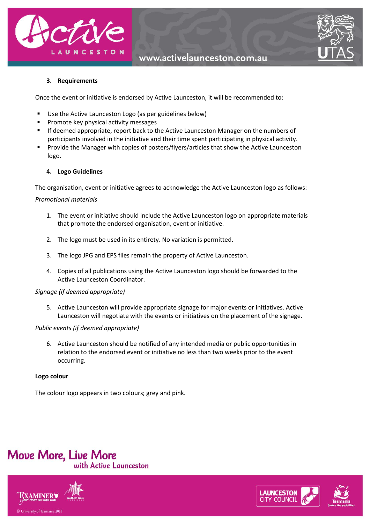



#### **3. Requirements**

Once the event or initiative is endorsed by Active Launceston, it will be recommended to:

- Use the Active Launceston Logo (as per guidelines below)
- **Promote key physical activity messages**
- **If deemed appropriate, report back to the Active Launceston Manager on the numbers of** participants involved in the initiative and their time spent participating in physical activity.
- **Provide the Manager with copies of posters/flyers/articles that show the Active Launceston** logo.

#### **4. Logo Guidelines**

The organisation, event or initiative agrees to acknowledge the Active Launceston logo as follows:

#### *Promotional materials*

- 1. The event or initiative should include the Active Launceston logo on appropriate materials that promote the endorsed organisation, event or initiative.
- 2. The logo must be used in its entirety. No variation is permitted.
- 3. The logo JPG and EPS files remain the property of Active Launceston.
- 4. Copies of all publications using the Active Launceston logo should be forwarded to the Active Launceston Coordinator.

#### *Signage (if deemed appropriate)*

5. Active Launceston will provide appropriate signage for major events or initiatives. Active Launceston will negotiate with the events or initiatives on the placement of the signage.

#### *Public events (if deemed appropriate)*

6. Active Launceston should be notified of any intended media or public opportunities in relation to the endorsed event or initiative no less than two weeks prior to the event occurring.

#### **Logo colour**

The colour logo appears in two colours; grey and pink.





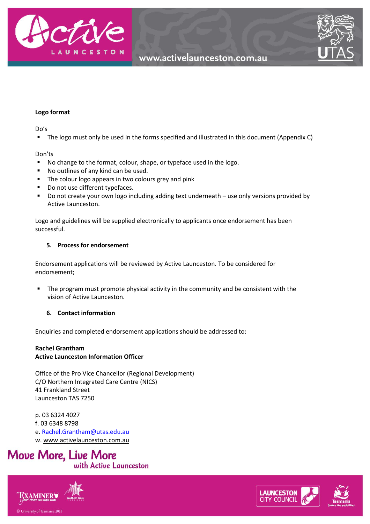



#### **Logo format**

Do's

The logo must only be used in the forms specified and illustrated in this document (Appendix C)

#### Don'ts

- No change to the format, colour, shape, or typeface used in the logo.
- No outlines of any kind can be used.
- **The colour logo appears in two colours grey and pink**
- Do not use different typefaces.
- Do not create your own logo including adding text underneath use only versions provided by Active Launceston.

Logo and guidelines will be supplied electronically to applicants once endorsement has been successful.

#### **5. Process for endorsement**

Endorsement applications will be reviewed by Active Launceston. To be considered for endorsement;

**The program must promote physical activity in the community and be consistent with the** vision of Active Launceston.

#### **6. Contact information**

Enquiries and completed endorsement applications should be addressed to:

#### **Rachel Grantham Active Launceston Information Officer**

Office of the Pro Vice Chancellor (Regional Development) C/O Northern Integrated Care Centre (NICS) 41 Frankland Street Launceston TAS 7250

p. 03 6324 4027 f. 03 6348 8798 e. [Rachel.Grantham@utas.edu.au](mailto:Rachel.Grantham@utas.edu.au) w. [www.activelaunceston.com.au](http://www.activelaunceston.com.au/) 





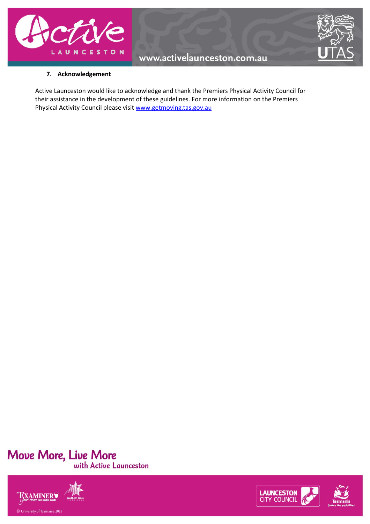



#### **7. Acknowledgement**

Active Launceston would like to acknowledge and thank the Premiers Physical Activity Council for their assistance in the development of these guidelines. For more information on the Premiers Physical Activity Council please visit [www.getmoving.tas.gov.au](http://www.getmoving.tas.gov.au/) 





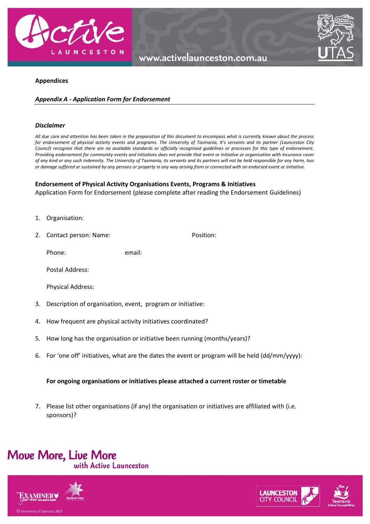



#### **Appendices**

#### *Appendix A - Application Form for Endorsement*

#### *Disclaimer*

*All due care and attention has been taken in the preparation of this document to encompass what is currently known about the process for endorsement of physical activity events and programs. The University of Tasmania, It's servants and its partner (Launceston City Council) recognise that there are no available standards or officially recognised guidelines or processes for this type of endorsement. Providing endorsement for community events and initiatives does not provide that event or initiative or organisation with insurance cover of any kind or any such indemnity. The University of Tasmania, its servants and its partners will not be held responsible for any harm, loss or damage suffered or sustained by any persons or property in any way arising from or connected with an endorsed event or initiative.* 

#### **Endorsement of Physical Activity Organisations Events, Programs & Initiatives**

Application Form for Endorsement (please complete after reading the Endorsement Guidelines)

- 1. Organisation:
- 2. Contact person: Name: Position:

Phone: email:

Postal Address:

Physical Address:

- 3. Description of organisation, event, program or initiative:
- 4. How frequent are physical activity initiatives coordinated?
- 5. How long has the organisation or initiative been running (months/years)?
- 6. For 'one off' initiatives, what are the dates the event or program will be held (dd/mm/yyyy):

#### **For ongoing organisations or initiatives please attached a current roster or timetable**

7. Please list other organisations (if any) the organisation or initiatives are affiliated with (i.e. sponsors)?







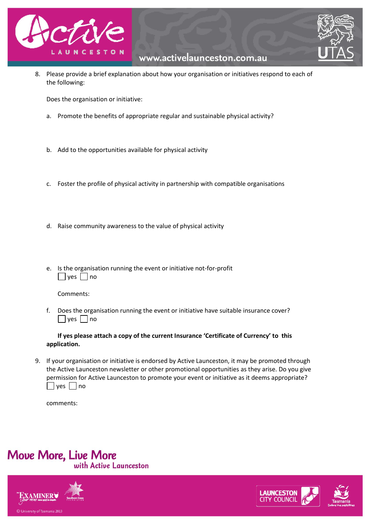



8. Please provide a brief explanation about how your organisation or initiatives respond to each of the following:

Does the organisation or initiative:

- a. Promote the benefits of appropriate regular and sustainable physical activity?
- b. Add to the opportunities available for physical activity
- c. Foster the profile of physical activity in partnership with compatible organisations
- d. Raise community awareness to the value of physical activity
- e. Is the organisation running the event or initiative not-for-profit  $\Box$  yes  $\Box$  no

Comments:

f. Does the organisation running the event or initiative have suitable insurance cover?  $\Box$  yes  $\Box$  no

**If yes please attach a copy of the current Insurance 'Certificate of Currency' to this application.** 

9. If your organisation or initiative is endorsed by Active Launceston, it may be promoted through the Active Launceston newsletter or other promotional opportunities as they arise. Do you give permission for Active Launceston to promote your event or initiative as it deems appropriate?  $\Box$  yes  $\Box$  no

comments:







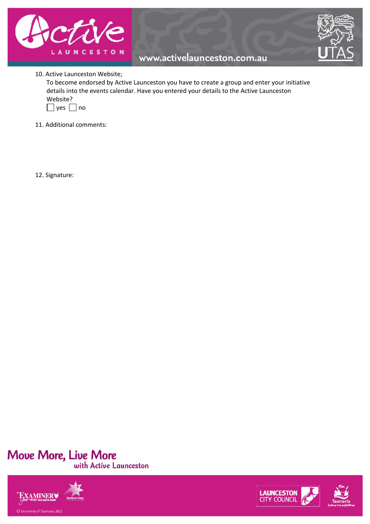



#### 10. Active Launceston Website;

To become endorsed by Active Launceston you have to create a group and enter your initiative details into the events calendar. Have you entered your details to the Active Launceston Website?



- 11. Additional comments:
- 12. Signature: